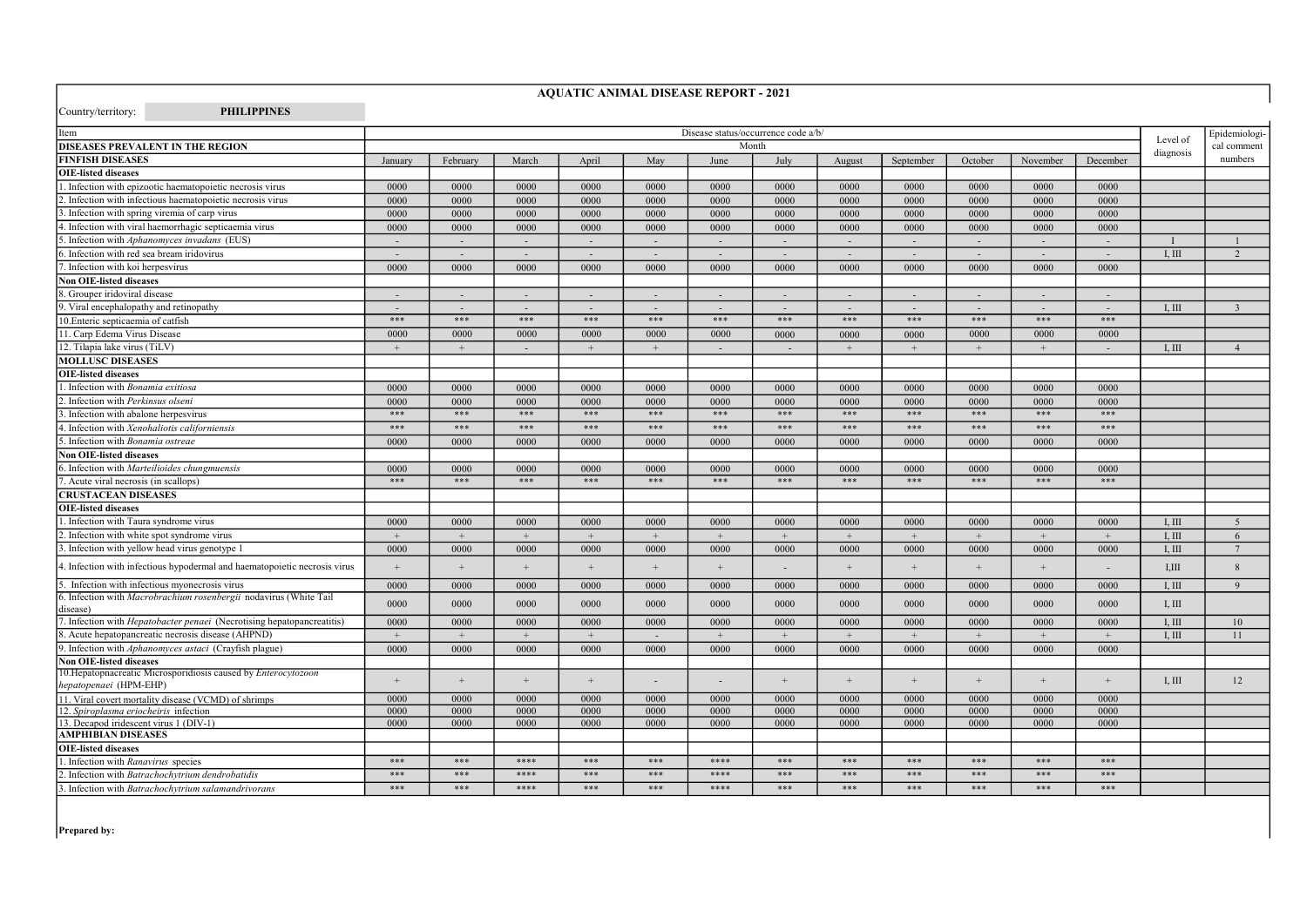| Item                                                                                     |                |                          |                |                |            |                          | Disease status/occurrence code a/b/ |                          |                          |            |            |          |           | Epidemiologi-   |
|------------------------------------------------------------------------------------------|----------------|--------------------------|----------------|----------------|------------|--------------------------|-------------------------------------|--------------------------|--------------------------|------------|------------|----------|-----------|-----------------|
| <b>DISEASES PREVALENT IN THE REGION</b>                                                  |                |                          |                |                |            |                          | Month                               |                          |                          |            |            |          | Level of  | cal comment     |
| <b>FINFISH DISEASES</b>                                                                  | January        | February                 | March          | April          | May        | June                     | July                                | August                   | September                | October    | November   | December | diagnosis | numbers         |
| <b>OIE-listed diseases</b>                                                               |                |                          |                |                |            |                          |                                     |                          |                          |            |            |          |           |                 |
| 1. Infection with epizootic haematopoietic necrosis virus                                | 0000           | 0000                     | 0000           | 0000           | 0000       | 0000                     | 0000                                | 0000                     | 0000                     | 0000       | 0000       | 0000     |           |                 |
| 2. Infection with infectious haematopoietic necrosis virus                               | 0000           | 0000                     | 0000           | 0000           | 0000       | 0000                     | 0000                                | 0000                     | 0000                     | 0000       | 0000       | 0000     |           |                 |
| 3. Infection with spring viremia of carp virus                                           | 0000           | 0000                     | 0000           | 0000           | 0000       | 0000                     | 0000                                | 0000                     | 0000                     | 0000       | 0000       | 0000     |           |                 |
| 4. Infection with viral haemorrhagic septicaemia virus                                   | 0000           | 0000                     | 0000           | 0000           | 0000       | 0000                     | 0000                                | 0000                     | 0000                     | 0000       | 0000       | 0000     |           |                 |
| 5. Infection with Aphanomyces invadans (EUS)                                             |                |                          |                |                |            | $\overline{\phantom{a}}$ | $\overline{\phantom{a}}$            | $\overline{\phantom{a}}$ | $\overline{\phantom{a}}$ | $\sim$     | $\sim$     | $\sim$   |           |                 |
| 6. Infection with red sea bream iridovirus                                               | $\sim$         | $\sim$                   | $\sim$         | $\sim$         | $\sim$     | $\sim$                   | $\sim$                              | $\sim$                   | $\sim$                   | $\sim$     | $\sim$     | $\sim$   | I, III    | 2               |
| 7. Infection with koi herpesvirus                                                        | 0000           | 0000                     | 0000           | 0000           | 0000       | 0000                     | 0000                                | 0000                     | 0000                     | 0000       | 0000       | 0000     |           |                 |
| <b>Non OIE-listed diseases</b>                                                           |                |                          |                |                |            |                          |                                     |                          |                          |            |            |          |           |                 |
| 8. Grouper iridoviral disease                                                            |                |                          |                |                |            |                          |                                     |                          |                          |            |            |          |           |                 |
| 9. Viral encephalopathy and retinopathy                                                  | $\overline{a}$ | $\overline{\phantom{a}}$ | $\sim$         | $\sim$         | $\sim$     | $\overline{\phantom{a}}$ | $\overline{\phantom{a}}$            | $\overline{\phantom{a}}$ | $\overline{\phantom{a}}$ | $\sim$     | $\sim$     | $\sim$   | I. III    | $\overline{3}$  |
| 10. Enteric septicaemia of catfish                                                       | $***$          | $***$                    | $***$          | $***$          | $***$      | $***$                    | $***$                               | $***$                    | $***$                    | $***$      | $***$      | $***$    |           |                 |
| 11. Carp Edema Virus Disease                                                             | 0000           | 0000                     | 0000           | 0000           | 0000       | 0000                     | 0000                                | 0000                     | 0000                     | 0000       | 0000       | 0000     |           |                 |
| 12. Tilapia lake virus (TiLV)                                                            | $+$            | $+$                      |                | $^{+}$         | $+$        |                          | $\sim$                              | $+$                      | $+$                      | $+$        | $+$        |          | I. III    | $\overline{4}$  |
| <b>MOLLUSC DISEASES</b>                                                                  |                |                          |                |                |            |                          |                                     |                          |                          |            |            |          |           |                 |
| <b>OIE-listed diseases</b>                                                               |                |                          |                |                |            |                          |                                     |                          |                          |            |            |          |           |                 |
| 1. Infection with Bonamia exitiosa                                                       | 0000           | 0000                     | 0000           | 0000           | 0000       | 0000                     | 0000                                | 0000                     | 0000                     | 0000       | 0000       | 0000     |           |                 |
| 2. Infection with Perkinsus olseni                                                       | 0000           | 0000                     | 0000           | 0000           | 0000       | 0000                     | 0000                                | 0000                     | 0000                     | 0000       | 0000       | 0000     |           |                 |
| 3. Infection with abalone herpesvirus                                                    | $***$          | $***$                    | $***$          | $***$          | $***$      | $***$                    | $***$                               | $***$                    | $***$                    | $***$      | $***$      | $***$    |           |                 |
| 4. Infection with Xenohaliotis californiensis                                            | $***$          | $***$                    | $***$          | $***$          | $***$      | ***                      | $***$                               | $***$                    | $***$                    | $***$      | $***$      | $***$    |           |                 |
| 5. Infection with Bonamia ostreae                                                        | 0000           | 0000                     | 0000           | 0000           | 0000       | 0000                     | 0000                                | 0000                     | 0000                     | 0000       | 0000       | 0000     |           |                 |
| <b>Non OIE-listed diseases</b>                                                           |                |                          |                |                |            |                          |                                     |                          |                          |            |            |          |           |                 |
| 6. Infection with Marteilioides chungmuensis                                             | 0000           | 0000                     | 0000           | 0000           | 0000       | 0000                     | 0000                                | 0000                     | 0000                     | 0000       | 0000       | 0000     |           |                 |
| 7. Acute viral necrosis (in scallops)                                                    | $***$          | $***$                    | ***            | ***            | ***        | ***                      | ***                                 | ***                      | ***                      | $***$      | $***$      | $***$    |           |                 |
| <b>CRUSTACEAN DISEASES</b>                                                               |                |                          |                |                |            |                          |                                     |                          |                          |            |            |          |           |                 |
| <b>OIE-listed diseases</b>                                                               |                |                          |                |                |            |                          |                                     |                          |                          |            |            |          |           |                 |
| 1. Infection with Taura syndrome virus                                                   | 0000           | 0000                     | 0000           | 0000           | 0000       | 0000                     | 0000                                | 0000                     | 0000                     | 0000       | 0000       | 0000     | I. III    | 5               |
| 2. Infection with white spot syndrome virus                                              | $+$            | $+$                      | $+$            | $+$            | $+$        | $+$                      | $+$                                 | $+$                      | $+$                      | $+$        | $+$        | $+$      | I. III    | 6               |
| 3. Infection with yellow head virus genotype 1                                           | 0000           | 0000                     | 0000           | 0000           | 0000       | 0000                     | 0000                                | 0000                     | 0000                     | 0000       | 0000       | 0000     | I. III    | $7\phantom{.0}$ |
| 4. Infection with infectious hypodermal and haematopoietic necrosis virus                | $\overline{+}$ | $\overline{+}$           | $\overline{+}$ | $\overline{+}$ | $\ddot{+}$ | $+$                      |                                     | $\ddot{}$                | $\ddot{+}$               | $\ddot{+}$ | $\ddot{+}$ |          | I,III     | $\mathbf{8}$    |
| 5. Infection with infectious myonecrosis virus                                           | 0000           | 0000                     | 0000           | 0000           | 0000       | 0000                     | 0000                                | 0000                     | 0000                     | 0000       | 0000       | 0000     | I. III    | $\overline{9}$  |
| 6. Infection with Macrobrachium rosenbergii nodavirus (White Tail                        |                |                          |                |                |            |                          |                                     |                          |                          |            |            |          |           |                 |
| disease)                                                                                 | 0000           | 0000                     | 0000           | 0000           | 0000       | 0000                     | 0000                                | 0000                     | 0000                     | 0000       | 0000       | 0000     | I, III    |                 |
| 7. Infection with <i>Hepatobacter penaei</i> (Necrotising hepatopancreatitis)            | 0000           | 0000                     | 0000           | 0000           | 0000       | 0000                     | 0000                                | 0000                     | 0000                     | 0000       | 0000       | 0000     | I, III    | 10              |
| 8. Acute hepatopancreatic necrosis disease (AHPND)                                       | $+$            | $+$                      | $\overline{+}$ | $\overline{+}$ |            | $+$                      | $+$                                 | $+$                      | $+$                      | $+$        | $+$        | $+$      | I, III    | 11              |
| 9. Infection with Aphanomyces astaci (Crayfish plague)                                   | 0000           | 0000                     | 0000           | 0000           | 0000       | 0000                     | 0000                                | 0000                     | 0000                     | 0000       | 0000       | 0000     |           |                 |
| <b>Non OIE-listed diseases</b>                                                           |                |                          |                |                |            |                          |                                     |                          |                          |            |            |          |           |                 |
| 10. Hepatopnacreatic Microsporidiosis caused by Enterocytozoon<br>hepatopenaei (HPM-EHP) |                |                          | $^{+}$         | $^{+}$         |            |                          | $+$                                 | $+$                      | $+$                      | $^{+}$     | $\ddot{}$  | $+$      | I, III    | 12              |
| 11. Viral covert mortality disease (VCMD) of shrimps                                     | 0000           | 0000                     | 0000           | 0000           | 0000       | 0000                     | 0000                                | 0000                     | 0000                     | 0000       | 0000       | 0000     |           |                 |
| 12. Spiroplasma eriocheiris infection                                                    | 0000           | 0000                     | 0000           | 0000           | 0000       | 0000                     | 0000                                | 0000                     | 0000                     | 0000       | 0000       | 0000     |           |                 |
| 13. Decapod iridescent virus 1 (DIV-1)                                                   | 0000           | 0000                     | 0000           | 0000           | 0000       | 0000                     | 0000                                | 0000                     | 0000                     | 0000       | 0000       | 0000     |           |                 |
| <b>AMPHIBIAN DISEASES</b>                                                                |                |                          |                |                |            |                          |                                     |                          |                          |            |            |          |           |                 |
| <b>OIE-listed diseases</b>                                                               |                |                          |                |                |            |                          |                                     |                          |                          |            |            |          |           |                 |
| 1. Infection with Ranavirus species                                                      | $***$          | $***$                    | ****           | $***$          | $***$      | ****                     | $***$                               | $***$                    | $***$                    | $***$      | $***$      | $***$    |           |                 |
| 2. Infection with Batrachochytrium dendrobatidis                                         | $***$          | $***$                    | ****           | ***            | ***        | ****                     | $***$                               | $***$                    | $***$                    | $***$      | $***$      | $***$    |           |                 |
| 3. Infection with Batrachochytrium salamandrivorans                                      | $***$          | $***$                    | ****           | ***            | ***        | ****                     | ***                                 | $***$                    | $***$                    | $***$      | $***$      | $***$    |           |                 |

AQUATIC ANIMAL DISEASE REPORT - 2021

Prepared by:

Country/territory: PHILIPPINES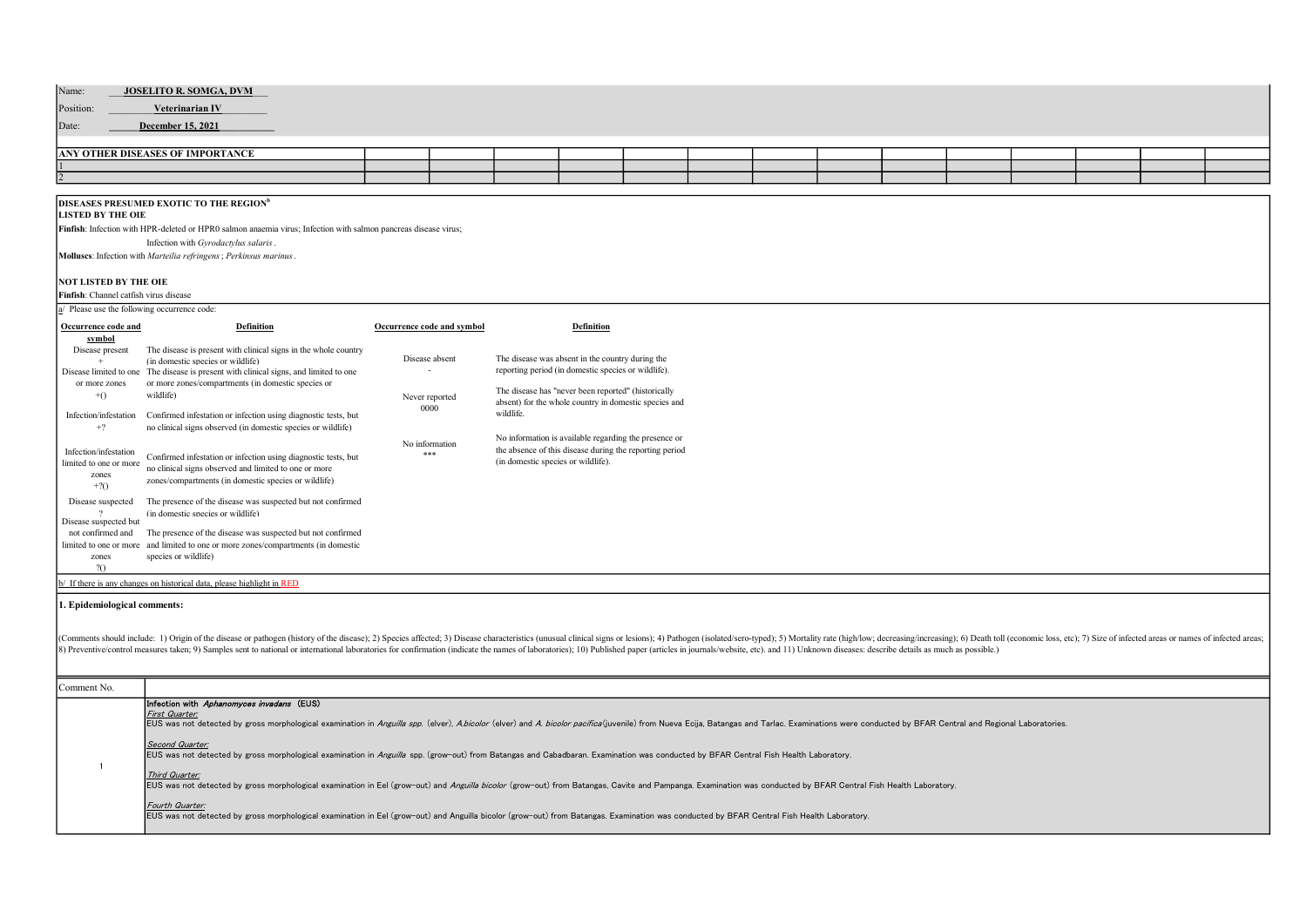| Name:                                   |  |  |  |  |  |  |  |
|-----------------------------------------|--|--|--|--|--|--|--|
| JOSELITO R. SOMGA, DVM                  |  |  |  |  |  |  |  |
| Position:<br>Veterinarian IV            |  |  |  |  |  |  |  |
| Date:<br>December 15, 2021              |  |  |  |  |  |  |  |
|                                         |  |  |  |  |  |  |  |
| <b>ANY OTHER DISEASES OF IMPORTANCE</b> |  |  |  |  |  |  |  |
|                                         |  |  |  |  |  |  |  |
|                                         |  |  |  |  |  |  |  |
|                                         |  |  |  |  |  |  |  |

## DISEASES PRESUMED EXOTIC TO THE REGION<sup>b</sup>

## LISTED BY THE OIE

Finfish: Infection with HPR-deleted or HPR0 salmon anaemia virus; Infection with salmon pancreas disease virus; Infection with Gyrodactylus salaris.

Molluscs: Infection with Marteilia refringens; Perkinsus marinus.

## NOT LISTED BY THE OIE

Finfish: Channel catfish virus disease

| a/ Please use the following occurrence code: |  |
|----------------------------------------------|--|
|----------------------------------------------|--|

| a. Please use the following occurrence code: |                                                                                                                         |                            |                                                                                                                  |
|----------------------------------------------|-------------------------------------------------------------------------------------------------------------------------|----------------------------|------------------------------------------------------------------------------------------------------------------|
| Occurrence code and                          | <b>Definition</b>                                                                                                       | Occurrence code and symbol | Definition                                                                                                       |
| symbol                                       |                                                                                                                         |                            |                                                                                                                  |
| Disease present                              | The disease is present with clinical signs in the whole country<br>(in domestic species or wildlife)                    | Disease absent             | The disease was absent in the country during the                                                                 |
| Disease limited to one                       | The disease is present with clinical signs, and limited to one                                                          |                            | reporting period (in domestic species or wildlife).                                                              |
| or more zones                                | or more zones/compartments (in domestic species or<br>wildlife)                                                         |                            | The disease has "never been reported" (historically                                                              |
| $+()$                                        |                                                                                                                         | Never reported<br>0000     | absent) for the whole country in domestic species and                                                            |
| Infection/infestation                        | Confirmed infestation or infection using diagnostic tests, but                                                          |                            | wildlife.                                                                                                        |
| $+2$                                         | no clinical signs observed (in domestic species or wildlife)                                                            |                            |                                                                                                                  |
| Infection/infestation                        |                                                                                                                         | No information             | No information is available regarding the presence or<br>the absence of this disease during the reporting period |
| limited to one or more                       | Confirmed infestation or infection using diagnostic tests, but<br>no clinical signs observed and limited to one or more | ***                        | (in domestic species or wildlife).                                                                               |
| zones                                        | zones/compartments (in domestic species or wildlife)                                                                    |                            |                                                                                                                  |
| $+2()$                                       |                                                                                                                         |                            |                                                                                                                  |
| Disease suspected                            | The presence of the disease was suspected but not confirmed<br>(in domestic species or wildlife)                        |                            |                                                                                                                  |
| Disease suspected but                        |                                                                                                                         |                            |                                                                                                                  |
| not confirmed and                            | The presence of the disease was suspected but not confirmed                                                             |                            |                                                                                                                  |
|                                              | limited to one or more and limited to one or more zones/compartments (in domestic<br>species or wildlife)               |                            |                                                                                                                  |
| zones<br>20                                  |                                                                                                                         |                            |                                                                                                                  |
|                                              | b/ If there is any changes on historical data, please highlight in RED                                                  |                            |                                                                                                                  |

## 1. Epidemiological comments:

(Comments should include: 1) Origin of the disease or pathogen (history of the disease); 2) Species affected; 3) Disease characteristics (unusual clinical signs or lesions); 4) Pathogen (isolated/sero-typed); 5) Mortality

| Comment No. |                                                                                                                                                                                                                                                  |
|-------------|--------------------------------------------------------------------------------------------------------------------------------------------------------------------------------------------------------------------------------------------------|
|             | Infection with Aphanomyces invadans (EUS)                                                                                                                                                                                                        |
|             | First Quarter:<br>EUS was not detected by gross morphological examination in Anguilla spp. (elver), Abicolor (elver) and A. bicolor pacifica (juvenile) from Nueva Ecija, Batangas and Tarlac. Examinations were conducted by BFAR Central and R |
|             | Second Quarter:<br>EUS was not detected by gross morphological examination in Anguilla spp. (grow-out) from Batangas and Cabadbaran. Examination was conducted by BFAR Central Fish Health Laboratory.                                           |
|             | Third Quarter:<br>EUS was not detected by gross morphological examination in Eel (grow-out) and Anguilla bicolor (grow-out) from Batangas, Cavite and Pampanga. Examination was conducted by BFAR Central Fish Health Laboratory.                |
|             | Fourth Quarter:<br>EUS was not detected by gross morphological examination in Eel (grow-out) and Anguilla bicolor (grow-out) from Batangas. Examination was conducted by BFAR Central Fish Health Laboratory.                                    |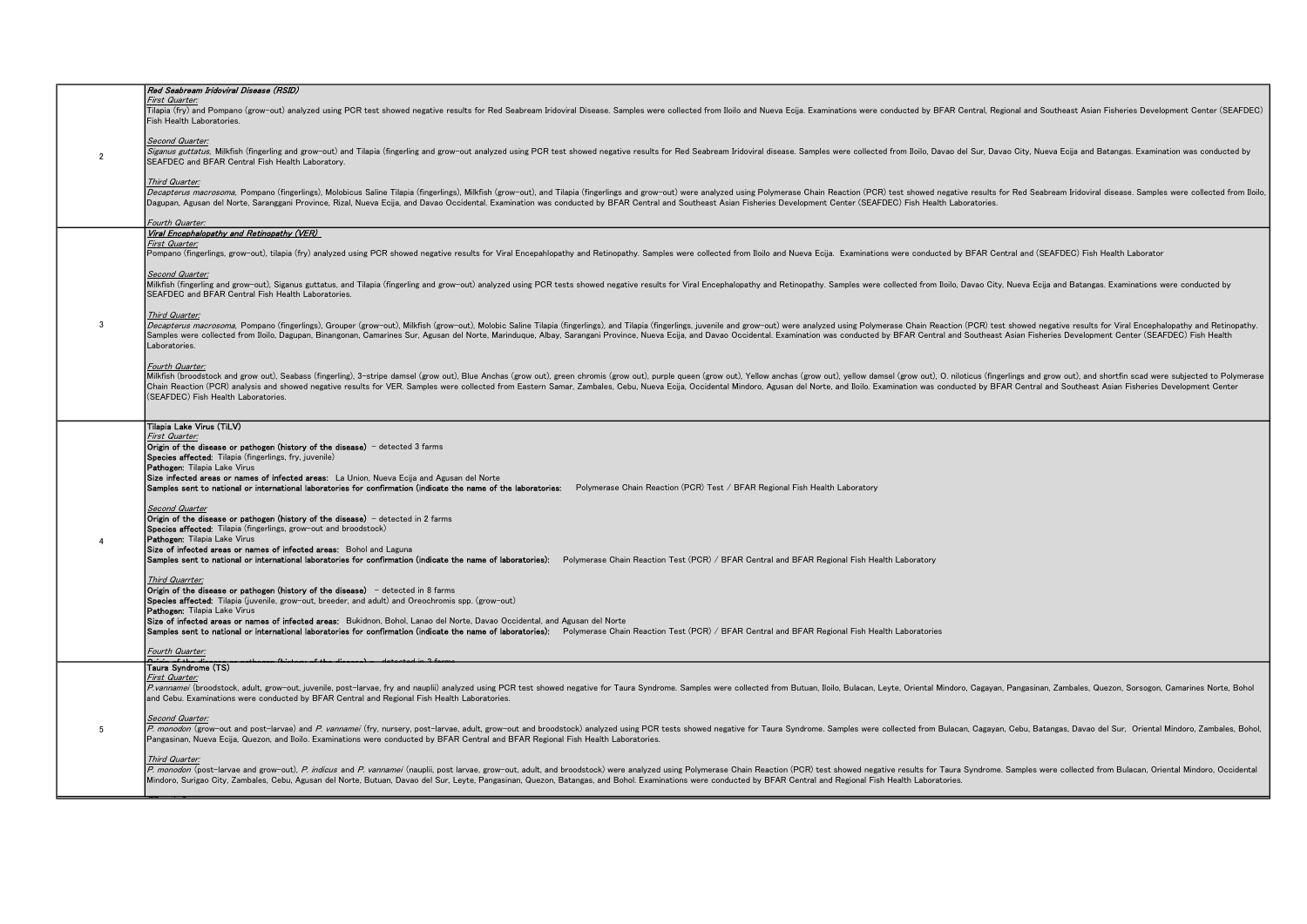|                | Red Seabream Iridoviral Disease (RSID)                                                                                                                                                                                                                                                                                                                                                                                                                                                                                                                                                                                                                                                                                                                                                                                                                                                                                                                                                                                                                                                                                                                                                                                                                                                                                                                                                                                                                                                                                                                                                                         |
|----------------|----------------------------------------------------------------------------------------------------------------------------------------------------------------------------------------------------------------------------------------------------------------------------------------------------------------------------------------------------------------------------------------------------------------------------------------------------------------------------------------------------------------------------------------------------------------------------------------------------------------------------------------------------------------------------------------------------------------------------------------------------------------------------------------------------------------------------------------------------------------------------------------------------------------------------------------------------------------------------------------------------------------------------------------------------------------------------------------------------------------------------------------------------------------------------------------------------------------------------------------------------------------------------------------------------------------------------------------------------------------------------------------------------------------------------------------------------------------------------------------------------------------------------------------------------------------------------------------------------------------|
|                | First Quarter:<br>Tilapia (fry) and Pompano (grow-out) analyzed using PCR test showed negative results for Red Seabream Iridoviral Disease. Samples were collected from Iloilo and Nueva Ecija. Examinations were conducted by BFAR Central, Reg<br>Fish Health Laboratories.                                                                                                                                                                                                                                                                                                                                                                                                                                                                                                                                                                                                                                                                                                                                                                                                                                                                                                                                                                                                                                                                                                                                                                                                                                                                                                                                  |
| $\overline{2}$ | Second Quarter:<br>Siganus guttatus, Milkfish (fingerling and grow-out) and Tilapia (fingerling and grow-out analyzed using PCR test showed negative results for Red Seabream Iridoviral disease. Samples were collected from Iloilo, Davao del S<br>SEAFDEC and BFAR Central Fish Health Laboratory.                                                                                                                                                                                                                                                                                                                                                                                                                                                                                                                                                                                                                                                                                                                                                                                                                                                                                                                                                                                                                                                                                                                                                                                                                                                                                                          |
|                | Third Quarter:<br>Decapterus macrosoma, Pompano (fingerlings), Molobicus Saline Tilapia (fingerlings), Milkfish (grow-out), and Tilapia (fingerlings and grow-out) were analyzed using Polymerase Chain Reaction (PCR) test showed negative resu<br>Dagupan, Agusan del Norte, Saranggani Province, Rizal, Nueva Ecija, and Davao Occidental. Examination was conducted by BFAR Central and Southeast Asian Fisheries Development Center (SEAFDEC) Fish Health Laboratories.                                                                                                                                                                                                                                                                                                                                                                                                                                                                                                                                                                                                                                                                                                                                                                                                                                                                                                                                                                                                                                                                                                                                   |
|                | Fourth Quarter:<br>Viral Encephalopathy and Retinopathy (VER)                                                                                                                                                                                                                                                                                                                                                                                                                                                                                                                                                                                                                                                                                                                                                                                                                                                                                                                                                                                                                                                                                                                                                                                                                                                                                                                                                                                                                                                                                                                                                  |
|                | First Quarter:                                                                                                                                                                                                                                                                                                                                                                                                                                                                                                                                                                                                                                                                                                                                                                                                                                                                                                                                                                                                                                                                                                                                                                                                                                                                                                                                                                                                                                                                                                                                                                                                 |
|                | Pompano (fingerlings, grow-out), tilapia (fry) analyzed using PCR showed negative results for Viral Encepahlopathy and Retinopathy. Samples were collected from Iloilo and Nueva Ecija. Examinations were conducted by BFAR Ce                                                                                                                                                                                                                                                                                                                                                                                                                                                                                                                                                                                                                                                                                                                                                                                                                                                                                                                                                                                                                                                                                                                                                                                                                                                                                                                                                                                 |
|                | Second Quarter:<br>Milkfish (fingerling and grow-out), Siganus guttatus, and Tilapia (fingerling and grow-out) analyzed using PCR tests showed negative results for Viral Encephalopathy and Retinopathy. Samples were collected from Iloilo, Dav<br>SEAFDEC and BFAR Central Fish Health Laboratories.                                                                                                                                                                                                                                                                                                                                                                                                                                                                                                                                                                                                                                                                                                                                                                                                                                                                                                                                                                                                                                                                                                                                                                                                                                                                                                        |
|                | Third Quarter:                                                                                                                                                                                                                                                                                                                                                                                                                                                                                                                                                                                                                                                                                                                                                                                                                                                                                                                                                                                                                                                                                                                                                                                                                                                                                                                                                                                                                                                                                                                                                                                                 |
| 3              | Decapterus macrosoma, Pompano (fingerlings), Grouper (grow-out), Milkfish (grow-out), Molobic Saline Tilapia (fingerlings), and Tilapia (fingerlings, iuvenile and grow-out) were analyzed using Polymerase Chain Reaction (PC<br>Samples were collected from Iloilo, Dagupan, Binangonan, Camarines Sur, Agusan del Norte, Marinduque, Albay, Sarangani Province, Nueva Ecija, and Davao Occidental. Examination was conducted by BFAR Central and Southeast As<br>Laboratories.                                                                                                                                                                                                                                                                                                                                                                                                                                                                                                                                                                                                                                                                                                                                                                                                                                                                                                                                                                                                                                                                                                                              |
|                | Fourth Quarter:<br>Milkfish (broodstock and grow out), Seabass (fingerling), 3-stripe damsel (grow out), Blue Anchas (grow out), green chromis (grow out), purple queen (grow out), Yellow anchas (grow out), yellow damsel (grow out), oil of cl<br>Chain Reaction (PCR) analysis and showed negative results for VER. Samples were collected from Eastern Samar, Zambales, Cebu, Nueva Ecija, Occidental Mindoro, Agusan del Norte, and Iloilo. Examination was conducted by BFAR<br>(SEAFDEC) Fish Health Laboratories.                                                                                                                                                                                                                                                                                                                                                                                                                                                                                                                                                                                                                                                                                                                                                                                                                                                                                                                                                                                                                                                                                     |
|                |                                                                                                                                                                                                                                                                                                                                                                                                                                                                                                                                                                                                                                                                                                                                                                                                                                                                                                                                                                                                                                                                                                                                                                                                                                                                                                                                                                                                                                                                                                                                                                                                                |
| $\overline{4}$ | Tilapia Lake Virus (TiLV)<br>First Quarter:<br>Origin of the disease or pathogen (history of the disease) - detected 3 farms<br>Species affected: Tilapia (fingerlings, fry, juvenile)<br>Pathogen: Tilapia Lake Virus<br>Size infected areas or names of infected areas: La Union, Nueva Ecija and Agusan del Norte<br>Samples sent to national or international laboratories for confirmation (indicate the name of the laboratories: Polymerase Chain Reaction (PCR) Test / BFAR Regional Fish Health Laboratory<br>Second Quarter<br>Origin of the disease or pathogen (history of the disease) - detected in 2 farms<br>Species affected: Tilapia (fingerlings, grow-out and broodstock)<br>Pathogen: Tilapia Lake Virus<br>Size of infected areas or names of infected areas: Bohol and Laguna<br>Samples sent to national or international laboratories for confirmation (indicate the name of laboratories): Polymerase Chain Reaction Test (PCR) / BFAR Central and BFAR Regional Fish Health Laboratory<br>Third Quarrter:<br>Origin of the disease or pathogen (history of the disease) $-$ detected in 8 farms<br>Species affected: Tilapia (juvenile, grow-out, breeder, and adult) and Oreochromis spp. (grow-out)<br>Pathogen: Tilapia Lake Virus<br>Size of infected areas or names of infected areas: Bukidnon, Bohol, Lanao del Norte, Davao Occidental, and Agusan del Norte<br>Samples sent to national or international laboratories for confirmation (indicate the name of laboratories): Polymerase Chain Reaction Test (PCR) / BFAR Central and BFAR Regional Fish Health Laboratories |
|                | Fourth Quarter:                                                                                                                                                                                                                                                                                                                                                                                                                                                                                                                                                                                                                                                                                                                                                                                                                                                                                                                                                                                                                                                                                                                                                                                                                                                                                                                                                                                                                                                                                                                                                                                                |
|                | Taura Svndrome (TS)                                                                                                                                                                                                                                                                                                                                                                                                                                                                                                                                                                                                                                                                                                                                                                                                                                                                                                                                                                                                                                                                                                                                                                                                                                                                                                                                                                                                                                                                                                                                                                                            |
|                | First Quarter:<br>P.vannamei (broodstock, adult, grow-out, juvenile, post-larvae, fry and nauplii) analyzed using PCR test showed negative for Taura Syndrome. Samples were collected from Butuan, Iloilo, Bulacan, Leyte, Oriental Mindoro, Cag<br>and Cebu. Examinations were conducted by BFAR Central and Regional Fish Health Laboratories.                                                                                                                                                                                                                                                                                                                                                                                                                                                                                                                                                                                                                                                                                                                                                                                                                                                                                                                                                                                                                                                                                                                                                                                                                                                               |
| 5              | Second Quarter:<br>P. monodon (grow-out and post-larvae) and P. vannamei (fry, nursery, post-larvae, adult, grow-out and broodstock) analyzed using PCR tests showed negative for Taura Syndrome. Samples were collected from Bulacan, Cagayan, C<br>Pangasinan, Nueva Ecija, Quezon, and Iloilo. Examinations were conducted by BFAR Central and BFAR Regional Fish Health Laboratories.                                                                                                                                                                                                                                                                                                                                                                                                                                                                                                                                                                                                                                                                                                                                                                                                                                                                                                                                                                                                                                                                                                                                                                                                                      |
|                | Third Quarter:<br>P. monodon (post-larvae and grow-out), P. indicus and P. vannamei (nauplii, post larvae, grow-out, adult, and broodstock) were analyzed using Polymerase Chain Reaction (PCR) test showed negative results for Taura Syndrome.<br>Mindoro, Surigao City, Zambales, Cebu, Agusan del Norte, Butuan, Davao del Sur, Levte, Pangasinan, Quezon, Batangas, and Bohol, Examinations were conducted by BFAR Central and Regional Fish Health Laboratories,                                                                                                                                                                                                                                                                                                                                                                                                                                                                                                                                                                                                                                                                                                                                                                                                                                                                                                                                                                                                                                                                                                                                         |
|                |                                                                                                                                                                                                                                                                                                                                                                                                                                                                                                                                                                                                                                                                                                                                                                                                                                                                                                                                                                                                                                                                                                                                                                                                                                                                                                                                                                                                                                                                                                                                                                                                                |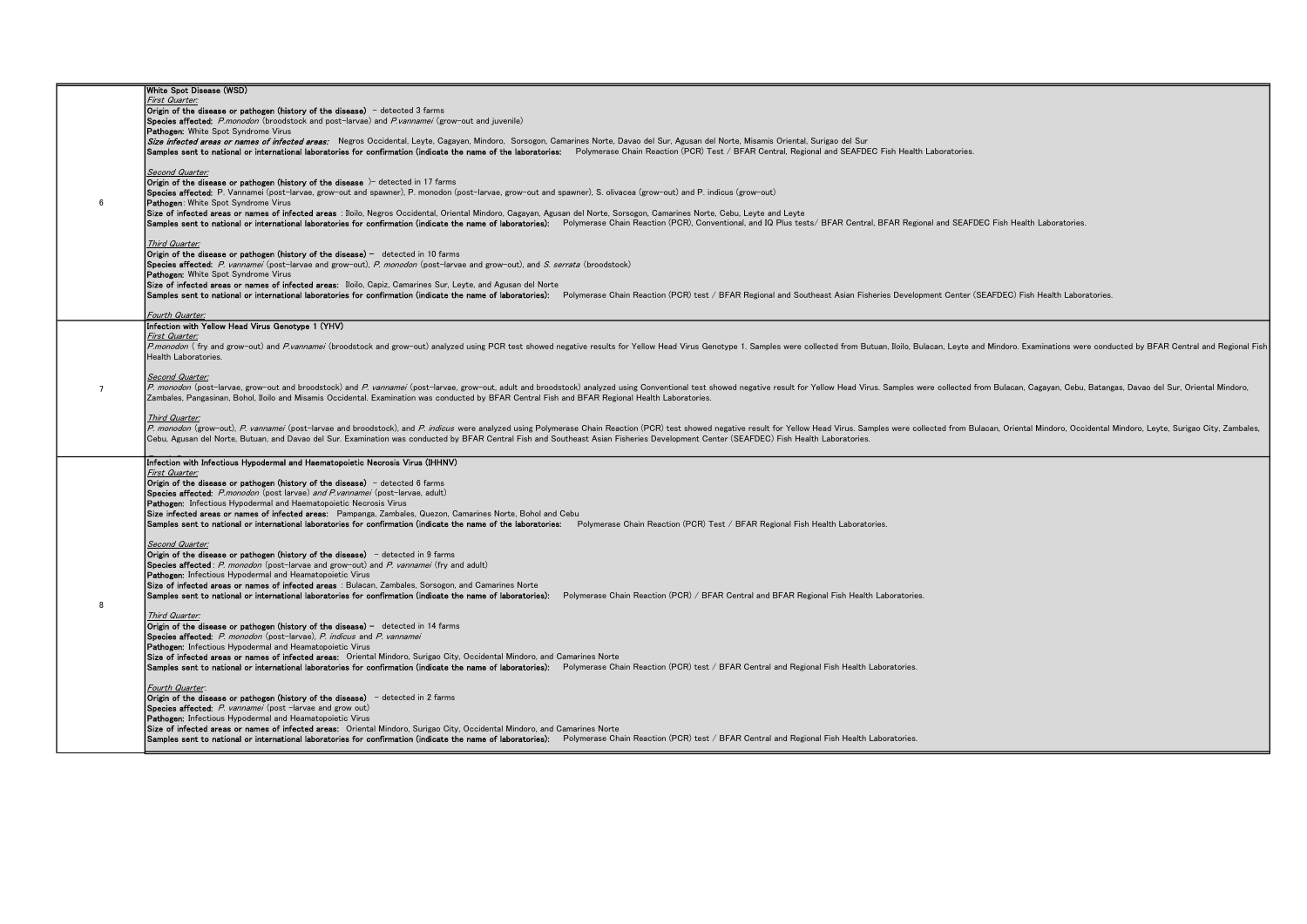|   | White Spot Disease (WSD)                                                                                                                                                                                                       |
|---|--------------------------------------------------------------------------------------------------------------------------------------------------------------------------------------------------------------------------------|
|   | First Quarter:                                                                                                                                                                                                                 |
|   | Origin of the disease or pathogen (history of the disease) - detected 3 farms                                                                                                                                                  |
|   | <b>Species affected:</b> P.monodon (broodstock and post-larvae) and P.vannamei (grow-out and iuvenile)                                                                                                                         |
|   | Pathogen: White Spot Syndrome Virus                                                                                                                                                                                            |
|   | Size infected areas or names of infected areas: Negros Occidental, Leyte, Cagayan, Mindoro, Sorsogon, Camarines Norte, Davao del Sur, Agusan del Norte, Misamis Oriental, Surigao del Sur                                      |
|   | Samples sent to national or international laboratories for confirmation (indicate the name of the laboratories: Polymerase Chain Reaction (PCR) Test / BFAR Central, Regional and SEAFDEC Fish Health Laboratories.            |
|   |                                                                                                                                                                                                                                |
|   | Second Quarter:                                                                                                                                                                                                                |
|   |                                                                                                                                                                                                                                |
|   | Origin of the disease or pathogen (history of the disease )- detected in 17 farms                                                                                                                                              |
|   | <b>Species affected:</b> P. Vannamei (post-larvae, grow-out and spawner), P. monodon (post-larvae, grow-out and spawner), S. olivacea (grow-out) and P. indicus (grow-out)                                                     |
| 6 | <b>Pathogen:</b> White Spot Syndrome Virus                                                                                                                                                                                     |
|   | Size of infected areas or names of infected areas : Iloilo, Negros Occidental, Oriental Mindoro, Cagayan, Agusan del Norte, Sorsogon, Camarines Norte, Cebu, Leyte and Leyte                                                   |
|   | Samples sent to national or international laboratories for confirmation (indicate the name of laboratories): Polymerase Chain Reaction (PCR), Conventional, and IQ Plus tests/ BFAR Central, BFAR Regional and SEAFDEC Fish He |
|   |                                                                                                                                                                                                                                |
|   | Third Quarter:                                                                                                                                                                                                                 |
|   | Origin of the disease or pathogen (history of the disease) $-$ detected in 10 farms                                                                                                                                            |
|   | Species affected: P. vannamei (post-larvae and grow-out), P. monodon (post-larvae and grow-out), and S. serrata (broodstock)                                                                                                   |
|   | Pathogen: White Spot Syndrome Virus                                                                                                                                                                                            |
|   | Size of infected areas or names of infected areas: Iloilo, Capiz, Camarines Sur, Leyte, and Agusan del Norte                                                                                                                   |
|   | Samples sent to national or international laboratories for confirmation (indicate the name of laboratories): Polymerase Chain Reaction (PCR) test / BFAR Regional and Southeast Asian Fisheries Development Center (SEAFDEC) F |
|   |                                                                                                                                                                                                                                |
|   |                                                                                                                                                                                                                                |
|   | Fourth Quarter:                                                                                                                                                                                                                |
|   | Infection with Yellow Head Virus Genotype 1 (YHV)                                                                                                                                                                              |
|   | First Quarter:                                                                                                                                                                                                                 |
|   | P.monodon (fry and grow-out) and P.vannamei (broodstock and grow-out) analyzed using PCR test showed negative results for Yellow Head Virus Genotype 1. Samples were collected from Butuan, Iloilo, Bulacan, Leyte and Mindoro |
|   | Health Laboratories.                                                                                                                                                                                                           |
|   |                                                                                                                                                                                                                                |
|   | Second Quarter:                                                                                                                                                                                                                |
| 7 | P. monodon (post-larvae, grow-out and broodstock) and P. vannamei (post-larvae, grow-out, adult and broodstock) analyzed using Conventional test showed negative result for Yellow Head Virus. Samples were collected from Bul |
|   | Zambales, Pangasinan, Bohol, Iloilo and Misamis Occidental. Examination was conducted by BFAR Central Fish and BFAR Regional Health Laboratories.                                                                              |
|   |                                                                                                                                                                                                                                |
|   | Third Quarter:                                                                                                                                                                                                                 |
|   | P. monodon (grow-out), P. vannamei (post-larvae and broodstock), and P. indicus were analyzed using Polymerase Chain Reaction (PCR) test showed negative result for Yellow Head Virus. Samples were collected from Bulacan, Or |
|   | Cebu, Agusan del Norte, Butuan, and Davao del Sur. Examination was conducted by BFAR Central Fish and Southeast Asian Fisheries Development Center (SEAFDEC) Fish Health Laboratories.                                         |
|   |                                                                                                                                                                                                                                |
|   |                                                                                                                                                                                                                                |
|   | Infection with Infectious Hypodermal and Haematopoietic Necrosis Virus (IHHNV)                                                                                                                                                 |
|   | First Quarter:                                                                                                                                                                                                                 |
|   | Origin of the disease or pathogen (history of the disease) - detected 6 farms                                                                                                                                                  |
|   | Species affected: P.monodon (post larvae) and P.vannamei (post-larvae, adult)                                                                                                                                                  |
|   | Pathogen: Infectious Hypodermal and Haematopoietic Necrosis Virus                                                                                                                                                              |
|   | Size infected areas or names of infected areas: Pampanga, Zambales, Quezon, Camarines Norte, Bohol and Cebu                                                                                                                    |
|   | Samples sent to national or international laboratories for confirmation (indicate the name of the laboratories: Polymerase Chain Reaction (PCR) Test / BFAR Regional Fish Health Laboratories.                                 |
|   |                                                                                                                                                                                                                                |
|   | Second Quarter:                                                                                                                                                                                                                |
|   | Origin of the disease or pathogen (history of the disease) - detected in 9 farms                                                                                                                                               |
|   | <b>Species affected</b> : P. monodon (post-larvae and grow-out) and P. vannamei (fry and adult)                                                                                                                                |
|   | Pathogen: Infectious Hypodermal and Heamatopoietic Virus                                                                                                                                                                       |
|   |                                                                                                                                                                                                                                |
|   | Size of infected areas or names of infected areas : Bulacan, Zambales, Sorsogon, and Camarines Norte                                                                                                                           |
|   | Samples sent to national or international laboratories for confirmation (indicate the name of laboratories): Polymerase Chain Reaction (PCR) / BFAR Central and BFAR Regional Fish Health Laboratories.                        |
| 8 |                                                                                                                                                                                                                                |
|   | Third Quarter:                                                                                                                                                                                                                 |
|   | Origin of the disease or pathogen (history of the disease) - detected in 14 farms                                                                                                                                              |
|   | Species affected: P. monodon (post-larvae). P. indicus and P. vannamei                                                                                                                                                         |
|   | <b>Pathogen:</b> Infectious Hypodermal and Heamatopoietic Virus                                                                                                                                                                |
|   | Size of infected areas or names of infected areas: Oriental Mindoro, Surigao City, Occidental Mindoro, and Camarines Norte                                                                                                     |
|   | Samples sent to national or international laboratories for confirmation (indicate the name of laboratories): Polymerase Chain Reaction (PCR) test / BFAR Central and Regional Fish Health Laboratories.                        |
|   |                                                                                                                                                                                                                                |
|   | Fourth Quarter:                                                                                                                                                                                                                |
|   | <b>Origin of the disease or pathogen (history of the disease)</b> - detected in 2 farms                                                                                                                                        |
|   | Species affected: P. vannamei (post -larvae and grow out)                                                                                                                                                                      |
|   | Pathogen: Infectious Hypodermal and Heamatopoietic Virus                                                                                                                                                                       |
|   |                                                                                                                                                                                                                                |
|   | Size of infected areas or names of infected areas: Oriental Mindoro, Surigao City, Occidental Mindoro, and Camarines Norte                                                                                                     |
|   | Samples sent to national or international laboratories for confirmation (indicate the name of laboratories): Polymerase Chain Reaction (PCR) test / BFAR Central and Regional Fish Health Laboratories.                        |
|   |                                                                                                                                                                                                                                |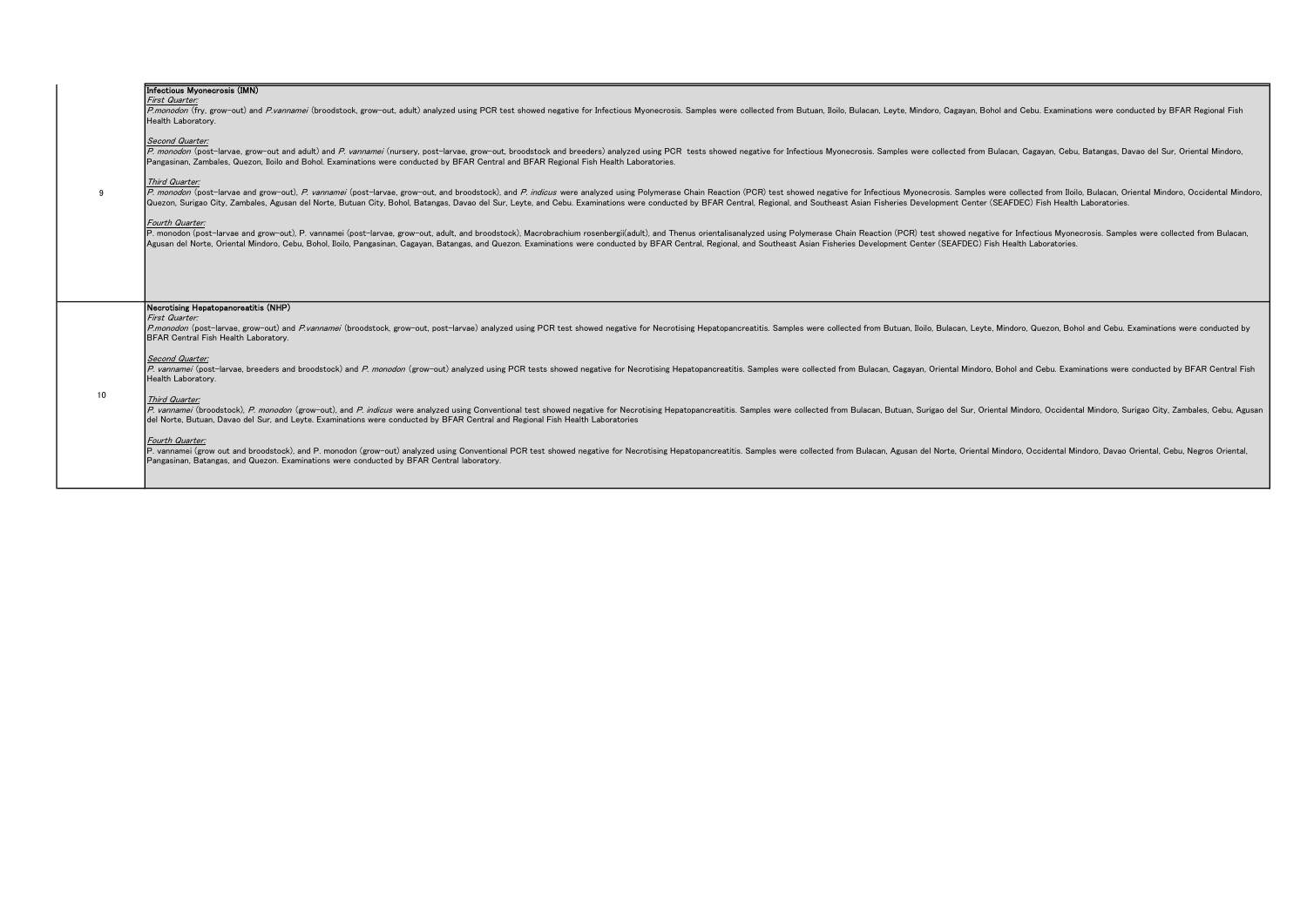|    | Infectious Myonecrosis (IMN)<br>First Quarter:<br>P.monodon (fry, grow-out) and P.vannamei (broodstock, grow-out, adult) analyzed using PCR test showed negative for Infectious Myonecrosis. Samples were collected from Butuan, Iloilo, Bulacan, Leyte, Mindoro, Cagayan, Bohol<br>Health Laboratory.<br>Second Quarter:<br>P. monodon (post-larvae, grow-out and adult) and P. vannamei (nursery, post-larvae, grow-out, broodstock and breeders) analyzed using PCR tests showed negative for Infectious Myonecrosis. Samples were collected from Bulaca<br>Pangasinan, Zambales, Quezon, Iloilo and Bohol. Examinations were conducted by BFAR Central and BFAR Regional Fish Health Laboratories.<br>Third Quarter:<br>P. monodon (post-larvae and grow-out), P. vannamei (post-larvae, grow-out, and broodstock), and P. indicus were analyzed using Polymerase Chain Reaction (PCR) test showed negative for Infectious Myonecrosis. Samples were c<br>Quezon, Surigao City, Zambales, Agusan del Norte, Butuan City, Bohol, Batangas, Davao del Sur, Leyte, and Cebu. Examinations were conducted by BFAR Central, Regional, and Southeast Asian Fisheries Development Center (SEAFD |  |
|----|----------------------------------------------------------------------------------------------------------------------------------------------------------------------------------------------------------------------------------------------------------------------------------------------------------------------------------------------------------------------------------------------------------------------------------------------------------------------------------------------------------------------------------------------------------------------------------------------------------------------------------------------------------------------------------------------------------------------------------------------------------------------------------------------------------------------------------------------------------------------------------------------------------------------------------------------------------------------------------------------------------------------------------------------------------------------------------------------------------------------------------------------------------------------------------------------|--|
|    | Fourth Quarter:<br>P. monodon (post-larvae and grow-out), P. vannamei (post-larvae, grow-out, adult, and broodstock), Macrobrachium rosenbergii(adult), and Thenus orientalisanalyzed using Polymerase Chain Reaction (PCR) test showed negative<br>Agusan del Norte, Oriental Mindoro, Cebu, Bohol, Iloilo, Pangasinan, Cagavan, Batangas, and Quezon, Examinations were conducted by BFAR Central, Regional, and Southeast Asian Fisheries Development Center (SEAFDEC) Fish Hea                                                                                                                                                                                                                                                                                                                                                                                                                                                                                                                                                                                                                                                                                                           |  |
|    | Necrotising Hepatopancreatitis (NHP)<br>First Quarter:<br>P.monodon (post-larvae, grow-out) and P.vannamei (broodstock, grow-out, post-larvae) analyzed using PCR test showed negative for Necrotising Hepatopancreatitis. Samples were collected from Butuan, Iloilo, Bulacan, Leyte, M<br>BFAR Central Fish Health Laboratory.<br>Second Quarter:<br>P. vannamei (post-larvae, breeders and broodstock) and P. monodon (grow-out) analyzed using PCR tests showed negative for Necrotising Hepatopancreatitis. Samples were collected from Bulacan, Cagayan, Oriental Mindoro, Boho<br>Health Laboratory.                                                                                                                                                                                                                                                                                                                                                                                                                                                                                                                                                                                  |  |
| 10 | Third Quarter:<br>P. vannamei (broodstock), P. monodon (grow-out), and P. indicus were analyzed using Conventional test showed negative for Necrotising Hepatopancreatitis. Samples were collected from Bulacan, Butuan, Surigao del Sur, Orient<br>del Norte, Butuan, Davao del Sur, and Leyte. Examinations were conducted by BFAR Central and Regional Fish Health Laboratories<br>Fourth Quarter:<br>P. vannamei (grow out and broodstock), and P. monodon (grow-out) analyzed using Conventional PCR test showed negative for Necrotising Hepatopancreatitis. Samples were collected from Bulacan, Agusan del Norte, Oriental Mind<br>Pangasinan, Batangas, and Quezon. Examinations were conducted by BFAR Central laboratory.                                                                                                                                                                                                                                                                                                                                                                                                                                                         |  |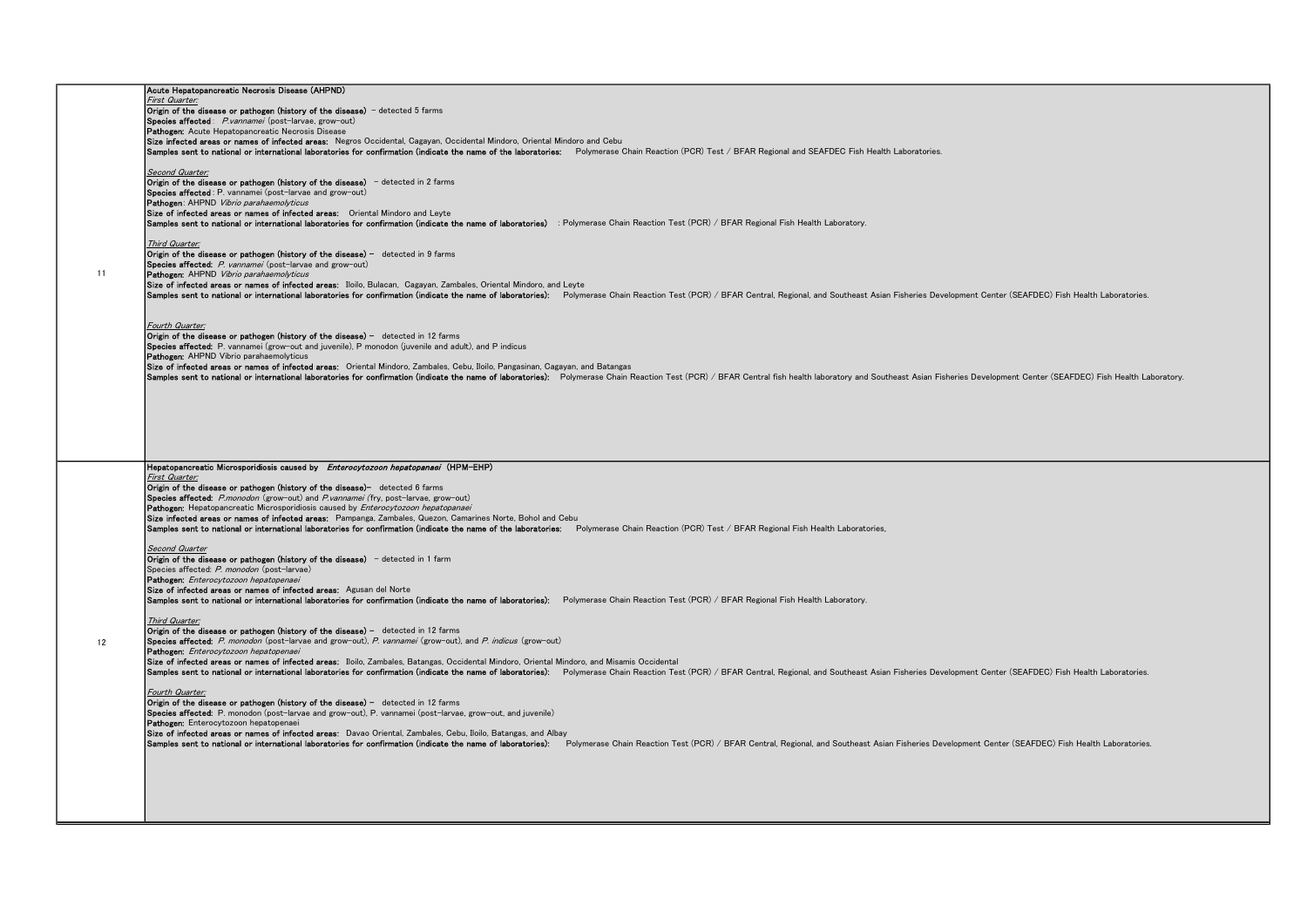|    | Acute Hepatopancreatic Necrosis Disease (AHPND)                                                                                                                                                                                |
|----|--------------------------------------------------------------------------------------------------------------------------------------------------------------------------------------------------------------------------------|
|    | First Quarter:                                                                                                                                                                                                                 |
|    | Origin of the disease or pathogen (history of the disease) - detected 5 farms                                                                                                                                                  |
|    | Species affected: P.vannamei (post-larvae, grow-out)                                                                                                                                                                           |
|    | Pathogen: Acute Hepatopancreatic Necrosis Disease                                                                                                                                                                              |
|    | Size infected areas or names of infected areas: Negros Occidental, Cagayan, Occidental Mindoro, Oriental Mindoro and Cebu                                                                                                      |
|    |                                                                                                                                                                                                                                |
|    | Samples sent to national or international laboratories for confirmation (indicate the name of the laboratories: Polymerase Chain Reaction (PCR) Test / BFAR Regional and SEAFDEC Fish Health Laboratories.                     |
|    |                                                                                                                                                                                                                                |
|    | Second Quarter:                                                                                                                                                                                                                |
|    | Origin of the disease or pathogen (history of the disease) - detected in 2 farms                                                                                                                                               |
|    |                                                                                                                                                                                                                                |
|    | Species affected: P. vannamei (post-larvae and grow-out)                                                                                                                                                                       |
|    | Pathogen: AHPND Vibrio parahaemolyticus                                                                                                                                                                                        |
|    | Size of infected areas or names of infected areas: Oriental Mindoro and Leyte                                                                                                                                                  |
|    | Samples sent to national or international laboratories for confirmation (indicate the name of laboratories) : Polymerase Chain Reaction Test (PCR) / BFAR Regional Fish Health Laboratory.                                     |
|    |                                                                                                                                                                                                                                |
|    |                                                                                                                                                                                                                                |
|    | Third Quarter:                                                                                                                                                                                                                 |
|    | Origin of the disease or pathogen (history of the disease) - detected in 9 farms                                                                                                                                               |
|    | Species affected: P. vannamei (post-larvae and grow-out)                                                                                                                                                                       |
| 11 | Pathoren: AHPND Vibrio parahaemolyticus                                                                                                                                                                                        |
|    |                                                                                                                                                                                                                                |
|    | Size of infected areas or names of infected areas: Iloilo, Bulacan, Cagavan, Zambales, Oriental Mindoro, and Leyte                                                                                                             |
|    | Samples sent to national or international laboratories for confirmation (indicate the name of laboratories); Polymerase Chain Reaction Test (PCR) / BFAR Central, Regional, and Southeast Asian Fisheries Development Center ( |
|    |                                                                                                                                                                                                                                |
|    |                                                                                                                                                                                                                                |
|    |                                                                                                                                                                                                                                |
|    | Fourth Quarter:                                                                                                                                                                                                                |
|    | <b>Origin of the disease or pathogen (history of the disease)</b> $-$ detected in 12 farms                                                                                                                                     |
|    | Species affected: P. vannamei (grow-out and juvenile), P monodon (juvenile and adult), and P indicus                                                                                                                           |
|    |                                                                                                                                                                                                                                |
|    | Pathogen: AHPND Vibrio parahaemolyticus                                                                                                                                                                                        |
|    | Size of infected areas or names of infected areas: Oriental Mindoro, Zambales, Cebu, Iloilo, Pangasinan, Cagayan, and Batangas                                                                                                 |
|    | Samples sent to national or international laboratories for confirmation (indicate the name of laboratories): Polymerase Chain Reaction Test (PCR) / BFAR Central fish health laboratory and Southeast Asian Fisheries Developm |
|    |                                                                                                                                                                                                                                |
|    |                                                                                                                                                                                                                                |
|    |                                                                                                                                                                                                                                |
|    |                                                                                                                                                                                                                                |
|    |                                                                                                                                                                                                                                |
|    |                                                                                                                                                                                                                                |
|    |                                                                                                                                                                                                                                |
|    |                                                                                                                                                                                                                                |
|    |                                                                                                                                                                                                                                |
|    |                                                                                                                                                                                                                                |
|    | Hepatopancreatic Microsporidiosis caused by Enterocytozoon hepatopanaei (HPM-EHP)                                                                                                                                              |
|    | First Quarter:                                                                                                                                                                                                                 |
|    | Origin of the disease or pathogen (history of the disease)- detected 6 farms                                                                                                                                                   |
|    |                                                                                                                                                                                                                                |
|    | Species affected: P.monodon (grow-out) and P.vannamei (fry, post-larvae, grow-out)                                                                                                                                             |
|    | Pathogen: Hepatopancreatic Microsporidiosis caused by Enterocytozoon hepatopanaei                                                                                                                                              |
|    |                                                                                                                                                                                                                                |
|    |                                                                                                                                                                                                                                |
|    | Size infected areas or names of infected areas: Pampanga, Zambales, Quezon, Camarines Norte, Bohol and Cebu                                                                                                                    |
|    | Samples sent to national or international laboratories for confirmation (indicate the name of the laboratories: Polymerase Chain Reaction (PCR) Test / BFAR Regional Fish Health Laboratories.                                 |
|    |                                                                                                                                                                                                                                |
|    | Second Quarter                                                                                                                                                                                                                 |
|    |                                                                                                                                                                                                                                |
|    | Origin of the disease or pathogen (history of the disease) - detected in 1 farm                                                                                                                                                |
|    | Species affected: P. monodon (post-larvae)                                                                                                                                                                                     |
|    | Pathogon: Enterocytozoon hepatopenaei                                                                                                                                                                                          |
|    | Size of infected areas or names of infected areas: Agusan del Norte                                                                                                                                                            |
|    |                                                                                                                                                                                                                                |
|    | Samples sent to national or international laboratories for confirmation (indicate the name of laboratories): Polymerase Chain Reaction Test (PCR) / BFAR Regional Fish Health Laboratory.                                      |
|    |                                                                                                                                                                                                                                |
|    | Third Quarter:                                                                                                                                                                                                                 |
|    | Origin of the disease or pathogen (history of the disease) - detected in 12 farms                                                                                                                                              |
|    |                                                                                                                                                                                                                                |
| 12 | Species affected: P. monodon (post-larvae and grow-out), P. vannamei (grow-out), and P. indicus (grow-out)                                                                                                                     |
|    | Pathogen: Enterocytozoon hepatopenaei                                                                                                                                                                                          |
|    | Size of infected areas or names of infected areas: Iloilo, Zambales, Batangas, Occidental Mindoro, Oriental Mindoro, and Misamis Occidental                                                                                    |
|    | Samples sent to national or international laboratories for confirmation (indicate the name of laboratories); Polymerase Chain Reaction Test (PCR) / BFAR Central, Regional, and Southeast Asian Fisheries Development Center ( |
|    |                                                                                                                                                                                                                                |
|    |                                                                                                                                                                                                                                |
|    | Fourth Quarter:                                                                                                                                                                                                                |
|    | Origin of the disease or pathogen (history of the disease) - detected in 12 farms                                                                                                                                              |
|    | Species affected: P. monodon (post-larvae and grow-out), P. vannamei (post-larvae, grow-out, and juvenile)                                                                                                                     |
|    |                                                                                                                                                                                                                                |
|    | Pathogen: Enterocytozoon hepatopenaei                                                                                                                                                                                          |
|    | Size of infected areas or names of infected areas: Davao Oriental, Zambales, Cebu, Iloilo, Batangas, and Albay                                                                                                                 |
|    | Samples sent to national or international laboratories for confirmation (indicate the name of laboratories): Polymerase Chain Reaction Test (PCR) / BFAR Central. Regional, and Southeast Asian Fisheries Development Center ( |
|    |                                                                                                                                                                                                                                |
|    |                                                                                                                                                                                                                                |
|    |                                                                                                                                                                                                                                |
|    |                                                                                                                                                                                                                                |
|    |                                                                                                                                                                                                                                |
|    |                                                                                                                                                                                                                                |
|    |                                                                                                                                                                                                                                |